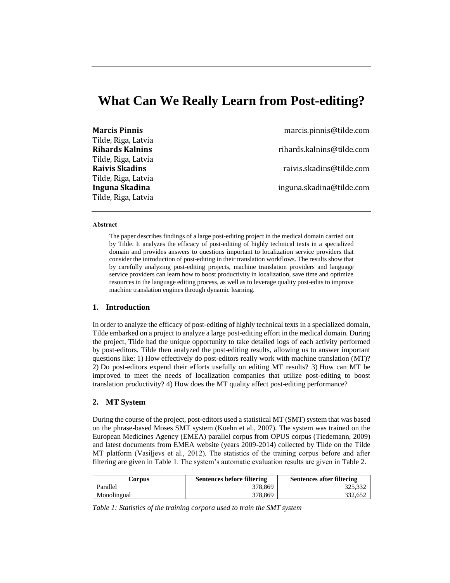# **What Can We Really Learn from Post-editing?**

| <b>Marcis Pinnis</b>   | marcis.pinnis@tilde.com   |
|------------------------|---------------------------|
| Tilde, Riga, Latvia    |                           |
| <b>Rihards Kalnins</b> | rihards.kalnins@tilde.com |
| Tilde, Riga, Latvia    |                           |
| <b>Raivis Skadins</b>  | raivis.skadins@tilde.com  |
| Tilde, Riga, Latvia    |                           |
| Inguna Skadina         | inguna.skadina@tilde.com  |
| Tilde, Riga, Latvia    |                           |

#### **Abstract**

The paper describes findings of a large post-editing project in the medical domain carried out by Tilde. It analyzes the efficacy of post-editing of highly technical texts in a specialized domain and provides answers to questions important to localization service providers that consider the introduction of post-editing in their translation workflows. The results show that by carefully analyzing post-editing projects, machine translation providers and language service providers can learn how to boost productivity in localization, save time and optimize resources in the language editing process, as well as to leverage quality post-edits to improve machine translation engines through dynamic learning.

## **1. Introduction**

In order to analyze the efficacy of post-editing of highly technical texts in a specialized domain, Tilde embarked on a project to analyze a large post-editing effort in the medical domain. During the project, Tilde had the unique opportunity to take detailed logs of each activity performed by post-editors. Tilde then analyzed the post-editing results, allowing us to answer important questions like: 1) How effectively do post-editors really work with machine translation (MT)? 2) Do post-editors expend their efforts usefully on editing MT results? 3) How can MT be improved to meet the needs of localization companies that utilize post-editing to boost translation productivity? 4) How does the MT quality affect post-editing performance?

#### **2. MT System**

During the course of the project, post-editors used a statistical MT (SMT) system that was based on the phrase-based Moses SMT system (Koehn et al., 2007). The system was trained on the European Medicines Agency (EMEA) parallel corpus from OPUS corpus (Tiedemann, 2009) and latest documents from EMEA website (years 2009-2014) collected by Tilde on the Tilde MT platform (Vasiļjevs et al., 2012). The statistics of the training corpus before and after filtering are given in [Table 1.](#page-0-0) The system's automatic evaluation results are given in [Table 2.](#page-1-0)

| Corpus      | Sentences before filtering | Sentences after filtering |  |
|-------------|----------------------------|---------------------------|--|
| Parallel    | 378.869                    | 325.332                   |  |
| Monolingual | 378.869                    | 332.652                   |  |

<span id="page-0-0"></span>*Table 1: Statistics of the training corpora used to train the SMT system*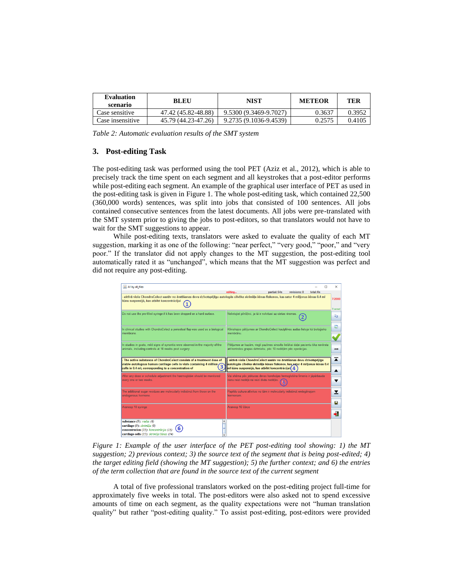| <b>Evaluation</b><br>scenario | <b>BLEU</b>         | NIST                   | <b>METEOR</b> | TER    |
|-------------------------------|---------------------|------------------------|---------------|--------|
| Case sensitive                | 47.42 (45.82-48.88) | 9.5300 (9.3469-9.7027) | 0.3637        | 0.3952 |
| Case insensitive              | 45.79 (44.23-47.26) | 9.2735 (9.1036-9.4539) | 0.2575        | 0.4105 |

<span id="page-1-0"></span>*Table 2: Automatic evaluation results of the SMT system*

## **3. Post-editing Task**

The post-editing task was performed using the tool PET (Aziz et al., 2012), which is able to precisely track the time spent on each segment and all keystrokes that a post-editor performs while post-editing each segment. An example of the graphical user interface of PET as used in the post-editing task is given i[n Figure 1.](#page-1-1) The whole post-editing task, which contained 22,500 (360,000 words) sentences, was split into jobs that consisted of 100 sentences. All jobs contained consecutive sentences from the latest documents. All jobs were pre-translated with the SMT system prior to giving the jobs to post-editors, so that translators would not have to wait for the SMT suggestions to appear.

While post-editing texts, translators were asked to evaluate the quality of each MT suggestion, marking it as one of the following: "near perfect," "very good," "poor," and "very poor." If the translator did not apply changes to the MT suggestion, the post-editing tool automatically rated it as "unchanged", which means that the MT suggestion was perfect and did not require any post-editing.



<span id="page-1-1"></span>*Figure 1: Example of the user interface of the PET post-editing tool showing: 1) the MT suggestion; 2) previous context; 3) the source text of the segment that is being post-edited; 4) the target editing field (showing the MT suggestion); 5) the further context; and 6) the entries of the term collection that are found in the source text of the current segment*

A total of five professional translators worked on the post-editing project full-time for approximately five weeks in total. The post-editors were also asked not to spend excessive amounts of time on each segment, as the quality expectations were not "human translation quality" but rather "post-editing quality." To assist post-editing, post-editors were provided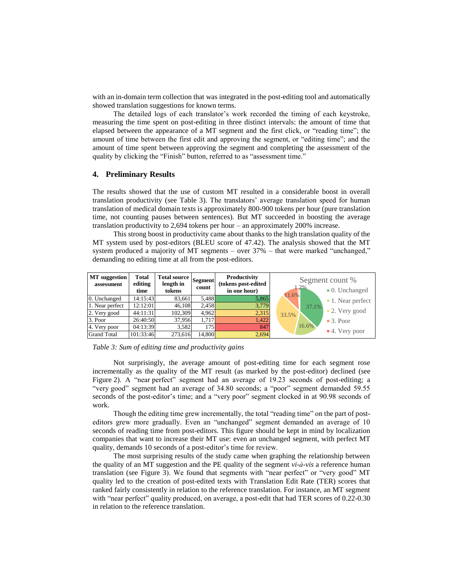with an in-domain term collection that was integrated in the post-editing tool and automatically showed translation suggestions for known terms.

The detailed logs of each translator's work recorded the timing of each keystroke, measuring the time spent on post-editing in three distinct intervals: the amount of time that elapsed between the appearance of a MT segment and the first click, or "reading time"; the amount of time between the first edit and approving the segment, or "editing time"; and the amount of time spent between approving the segment and completing the assessment of the quality by clicking the "Finish" button, referred to as "assessment time."

### **4. Preliminary Results**

The results showed that the use of custom MT resulted in a considerable boost in overall translation productivity (see [Table 3\)](#page-2-0). The translators' average translation speed for human translation of medical domain texts is approximately 800-900 tokens per hour (pure translation time, not counting pauses between sentences). But MT succeeded in boosting the average translation productivity to 2,694 tokens per hour – an approximately 200% increase.

This strong boost in productivity came about thanks to the high translation quality of the MT system used by post-editors (BLEU score of 47.42). The analysis showed that the MT system produced a majority of MT segments – over 37% – that were marked "unchanged," demanding no editing time at all from the post-editors.



<span id="page-2-0"></span>

Not surprisingly, the average amount of post-editing time for each segment rose incrementally as the quality of the MT result (as marked by the post-editor) declined (see [Figure](#page-3-0) 2). A "near perfect" segment had an average of 19.23 seconds of post-editing; a "very good" segment had an average of 34.80 seconds; a "poor" segment demanded 59.55 seconds of the post-editor's time; and a "very poor" segment clocked in at 90.98 seconds of work.

Though the editing time grew incrementally, the total "reading time" on the part of posteditors grew more gradually. Even an "unchanged" segment demanded an average of 10 seconds of reading time from post-editors. This figure should be kept in mind by localization companies that want to increase their MT use: even an unchanged segment, with perfect MT quality, demands 10 seconds of a post-editor's time for review.

The most surprising results of the study came when graphing the relationship between the quality of an MT suggestion and the PE quality of the segment *vi-à-vis* a reference human translation (see [Figure 3\)](#page-3-1). We found that segments with "near perfect" or "very good" MT quality led to the creation of post-edited texts with Translation Edit Rate (TER) scores that ranked fairly consistently in relation to the reference translation. For instance, an MT segment with "near perfect" quality produced, on average, a post-edit that had TER scores of 0.22-0.30 in relation to the reference translation.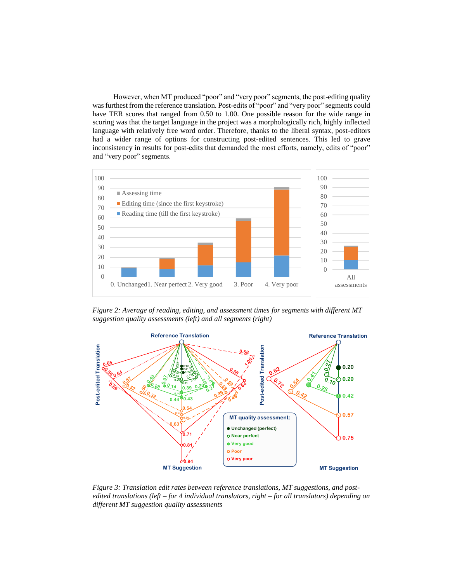However, when MT produced "poor" and "very poor" segments, the post-editing quality was furthest from the reference translation. Post-edits of "poor" and "very poor" segments could have TER scores that ranged from 0.50 to 1.00. One possible reason for the wide range in scoring was that the target language in the project was a morphologically rich, highly inflected language with relatively free word order. Therefore, thanks to the liberal syntax, post-editors had a wider range of options for constructing post-edited sentences. This led to grave inconsistency in results for post-edits that demanded the most efforts, namely, edits of "poor" and "very poor" segments.



<span id="page-3-0"></span>*Figure 2: Average of reading, editing, and assessment times for segments with different MT suggestion quality assessments (left) and all segments (right)*



<span id="page-3-1"></span>*Figure 3: Translation edit rates between reference translations, MT suggestions, and postedited translations (left – for 4 individual translators, right – for all translators) depending on different MT suggestion quality assessments*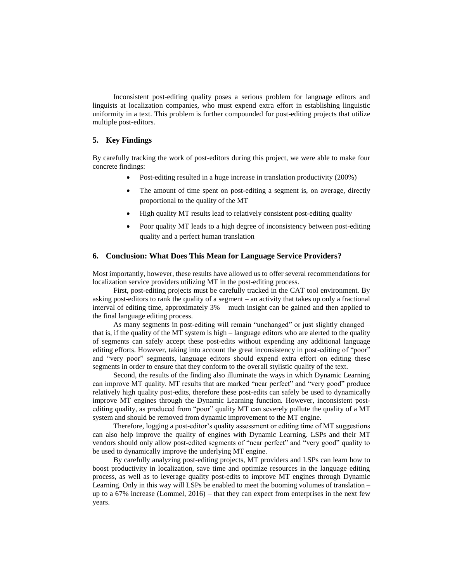Inconsistent post-editing quality poses a serious problem for language editors and linguists at localization companies, who must expend extra effort in establishing linguistic uniformity in a text. This problem is further compounded for post-editing projects that utilize multiple post-editors.

# **5. Key Findings**

By carefully tracking the work of post-editors during this project, we were able to make four concrete findings:

- Post-editing resulted in a huge increase in translation productivity (200%)
- The amount of time spent on post-editing a segment is, on average, directly proportional to the quality of the MT
- High quality MT results lead to relatively consistent post-editing quality
- Poor quality MT leads to a high degree of inconsistency between post-editing quality and a perfect human translation

### **6. Conclusion: What Does This Mean for Language Service Providers?**

Most importantly, however, these results have allowed us to offer several recommendations for localization service providers utilizing MT in the post-editing process.

First, post-editing projects must be carefully tracked in the CAT tool environment. By asking post-editors to rank the quality of a segment – an activity that takes up only a fractional interval of editing time, approximately 3% – much insight can be gained and then applied to the final language editing process.

As many segments in post-editing will remain "unchanged" or just slightly changed – that is, if the quality of the MT system is high – language editors who are alerted to the quality of segments can safely accept these post-edits without expending any additional language editing efforts. However, taking into account the great inconsistency in post-editing of "poor" and "very poor" segments, language editors should expend extra effort on editing these segments in order to ensure that they conform to the overall stylistic quality of the text.

Second, the results of the finding also illuminate the ways in which Dynamic Learning can improve MT quality. MT results that are marked "near perfect" and "very good" produce relatively high quality post-edits, therefore these post-edits can safely be used to dynamically improve MT engines through the Dynamic Learning function. However, inconsistent postediting quality, as produced from "poor" quality MT can severely pollute the quality of a MT system and should be removed from dynamic improvement to the MT engine.

Therefore, logging a post-editor's quality assessment or editing time of MT suggestions can also help improve the quality of engines with Dynamic Learning. LSPs and their MT vendors should only allow post-edited segments of "near perfect" and "very good" quality to be used to dynamically improve the underlying MT engine.

By carefully analyzing post-editing projects, MT providers and LSPs can learn how to boost productivity in localization, save time and optimize resources in the language editing process, as well as to leverage quality post-edits to improve MT engines through Dynamic Learning. Only in this way will LSPs be enabled to meet the booming volumes of translation – up to a 67% increase (Lommel, 2016) – that they can expect from enterprises in the next few years.